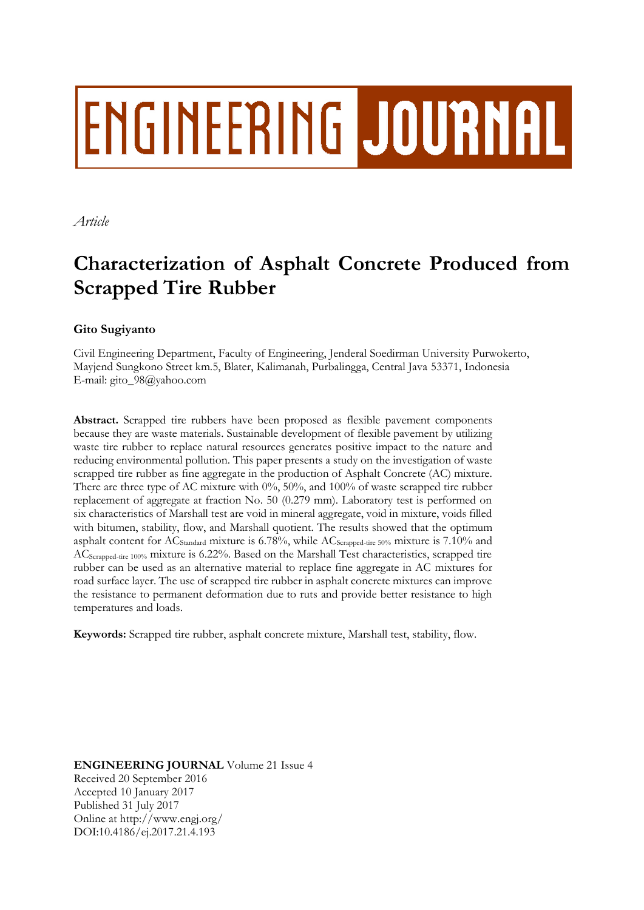# **ENGINEERING JOURNAL**

*Article*

## **Characterization of Asphalt Concrete Produced from Scrapped Tire Rubber**

### **Gito Sugiyanto**

Civil Engineering Department, Faculty of Engineering, Jenderal Soedirman University Purwokerto, Mayjend Sungkono Street km.5, Blater, Kalimanah, Purbalingga, Central Java 53371, Indonesia E-mail: gito\_98@yahoo.com

**Abstract.** Scrapped tire rubbers have been proposed as flexible pavement components because they are waste materials. Sustainable development of flexible pavement by utilizing waste tire rubber to replace natural resources generates positive impact to the nature and reducing environmental pollution. This paper presents a study on the investigation of waste scrapped tire rubber as fine aggregate in the production of Asphalt Concrete (AC) mixture. There are three type of AC mixture with 0%, 50%, and 100% of waste scrapped tire rubber replacement of aggregate at fraction No. 50 (0.279 mm). Laboratory test is performed on six characteristics of Marshall test are void in mineral aggregate, void in mixture, voids filled with bitumen, stability, flow, and Marshall quotient. The results showed that the optimum asphalt content for AC<sub>Standard</sub> mixture is 6.78%, while AC<sub>Scrapped-tire</sub> 50% mixture is 7.10% and ACScrapped-tire 100% mixture is 6.22%. Based on the Marshall Test characteristics, scrapped tire rubber can be used as an alternative material to replace fine aggregate in AC mixtures for road surface layer. The use of scrapped tire rubber in asphalt concrete mixtures can improve the resistance to permanent deformation due to ruts and provide better resistance to high temperatures and loads.

**Keywords:** Scrapped tire rubber, asphalt concrete mixture, Marshall test, stability, flow.

**ENGINEERING JOURNAL** Volume 21 Issue 4 Received 20 September 2016 Accepted 10 January 2017 Published 31 July 2017 Online at http://www.engj.org/ DOI:10.4186/ej.2017.21.4.193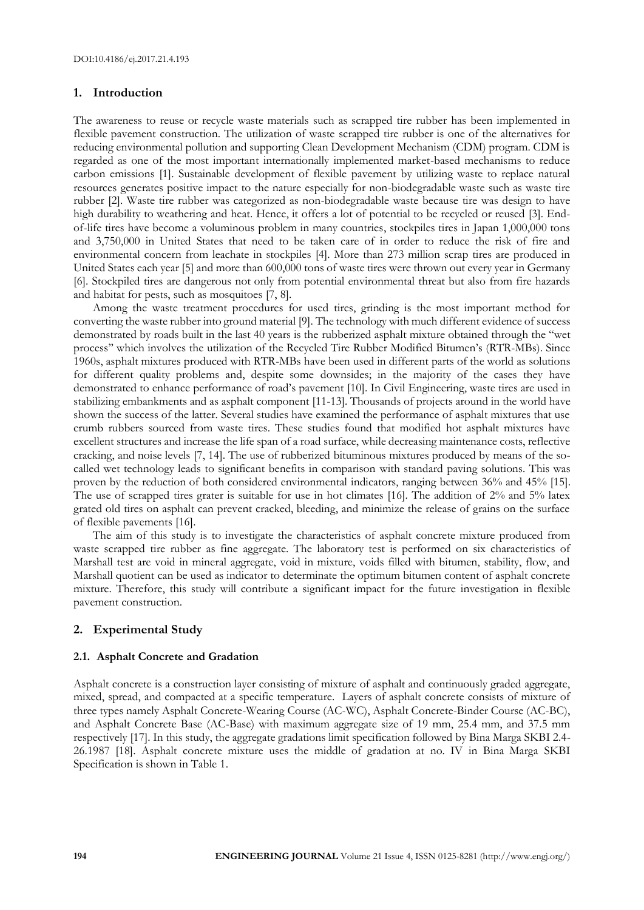#### **1. Introduction**

The awareness to reuse or recycle waste materials such as scrapped tire rubber has been implemented in flexible pavement construction. The utilization of waste scrapped tire rubber is one of the alternatives for reducing environmental pollution and supporting Clean Development Mechanism (CDM) program. CDM is regarded as one of the most important internationally implemented market-based mechanisms to reduce carbon emissions [1]. Sustainable development of flexible pavement by utilizing waste to replace natural resources generates positive impact to the nature especially for non-biodegradable waste such as waste tire rubber [2]. Waste tire rubber was categorized as non-biodegradable waste because tire was design to have high durability to weathering and heat. Hence, it offers a lot of potential to be recycled or reused [3]. Endof-life tires have become a voluminous problem in many countries, stockpiles tires in Japan 1,000,000 tons and 3,750,000 in United States that need to be taken care of in order to reduce the risk of fire and environmental concern from leachate in stockpiles [4]. More than 273 million scrap tires are produced in United States each year [5] and more than 600,000 tons of waste tires were thrown out every year in Germany [6]. Stockpiled tires are dangerous not only from potential environmental threat but also from fire hazards and habitat for pests, such as mosquitoes [7, 8].

Among the waste treatment procedures for used tires, grinding is the most important method for converting the waste rubber into ground material [9]. The technology with much different evidence of success demonstrated by roads built in the last 40 years is the rubberized asphalt mixture obtained through the ''wet process'' which involves the utilization of the Recycled Tire Rubber Modified Bitumen's (RTR-MBs). Since 1960s, asphalt mixtures produced with RTR-MBs have been used in different parts of the world as solutions for different quality problems and, despite some downsides; in the majority of the cases they have demonstrated to enhance performance of road's pavement [10]. In Civil Engineering, waste tires are used in stabilizing embankments and as asphalt component [11-13]. Thousands of projects around in the world have shown the success of the latter. Several studies have examined the performance of asphalt mixtures that use crumb rubbers sourced from waste tires. These studies found that modified hot asphalt mixtures have excellent structures and increase the life span of a road surface, while decreasing maintenance costs, reflective cracking, and noise levels [7, 14]. The use of rubberized bituminous mixtures produced by means of the socalled wet technology leads to significant benefits in comparison with standard paving solutions. This was proven by the reduction of both considered environmental indicators, ranging between 36% and 45% [15]. The use of scrapped tires grater is suitable for use in hot climates [16]. The addition of 2% and 5% latex grated old tires on asphalt can prevent cracked, bleeding, and minimize the release of grains on the surface of flexible pavements [16].

The aim of this study is to investigate the characteristics of asphalt concrete mixture produced from waste scrapped tire rubber as fine aggregate. The laboratory test is performed on six characteristics of Marshall test are void in mineral aggregate, void in mixture, voids filled with bitumen, stability, flow, and Marshall quotient can be used as indicator to determinate the optimum bitumen content of asphalt concrete mixture. Therefore, this study will contribute a significant impact for the future investigation in flexible pavement construction.

#### **2. Experimental Study**

#### **2.1. Asphalt Concrete and Gradation**

Asphalt concrete is a construction layer consisting of mixture of asphalt and continuously graded aggregate, mixed, spread, and compacted at a specific temperature. Layers of asphalt concrete consists of mixture of three types namely Asphalt Concrete-Wearing Course (AC-WC), Asphalt Concrete-Binder Course (AC-BC), and Asphalt Concrete Base (AC-Base) with maximum aggregate size of 19 mm, 25.4 mm, and 37.5 mm respectively [17]. In this study, the aggregate gradations limit specification followed by Bina Marga SKBI 2.4- 26.1987 [18]. Asphalt concrete mixture uses the middle of gradation at no. IV in Bina Marga SKBI Specification is shown in Table 1.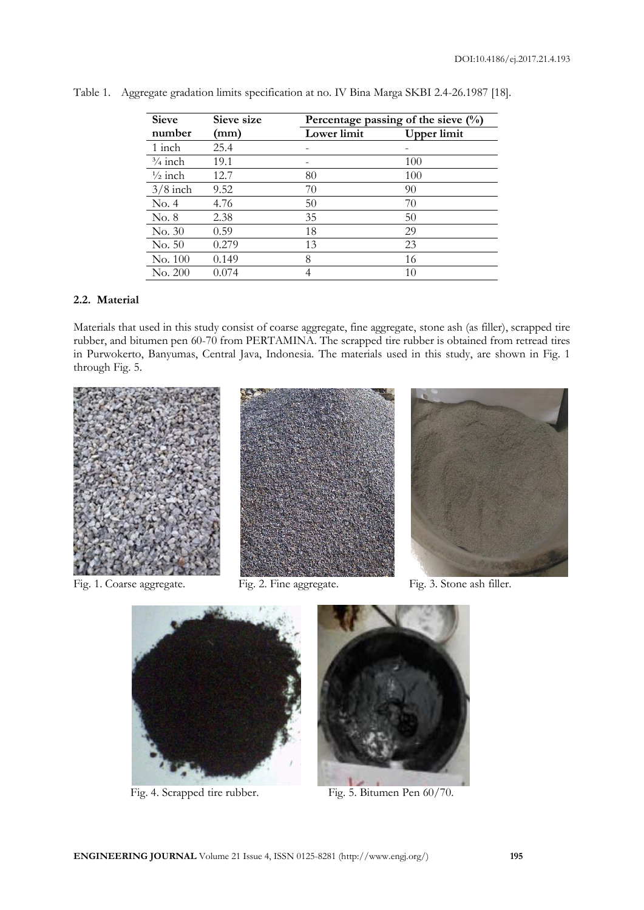| <b>Sieve</b>       | Sieve size | Percentage passing of the sieve $(\%)$ |             |  |
|--------------------|------------|----------------------------------------|-------------|--|
| number             | (mm)       | Lower limit                            | Upper limit |  |
| 1 inch             | 25.4       |                                        |             |  |
| $\frac{3}{4}$ inch | 19.1       |                                        | 100         |  |
| $\frac{1}{2}$ inch | 12.7       | 80                                     | 100         |  |
| $3/8$ inch         | 9.52       | 70                                     | 90          |  |
| No. 4              | 4.76       | 50                                     | 70          |  |
| No. 8              | 2.38       | 35                                     | 50          |  |
| No. 30             | 0.59       | 18                                     | 29          |  |
| No. 50             | 0.279      | 13                                     | 23          |  |
| No. 100            | 0.149      | 8                                      | 16          |  |
| No. 200            | 0.074      |                                        | 10          |  |

Table 1. Aggregate gradation limits specification at no. IV Bina Marga SKBI 2.4-26.1987 [18].

#### **2.2. Material**

Materials that used in this study consist of coarse aggregate, fine aggregate, stone ash (as filler), scrapped tire rubber, and bitumen pen 60-70 from PERTAMINA. The scrapped tire rubber is obtained from retread tires in Purwokerto, Banyumas, Central Java, Indonesia. The materials used in this study, are shown in Fig. 1 through Fig. 5.







Fig. 1. Coarse aggregate. Fig. 2. Fine aggregate. Fig. 3. Stone ash filler.



Fig. 4. Scrapped tire rubber. Fig. 5. Bitumen Pen 60/70.

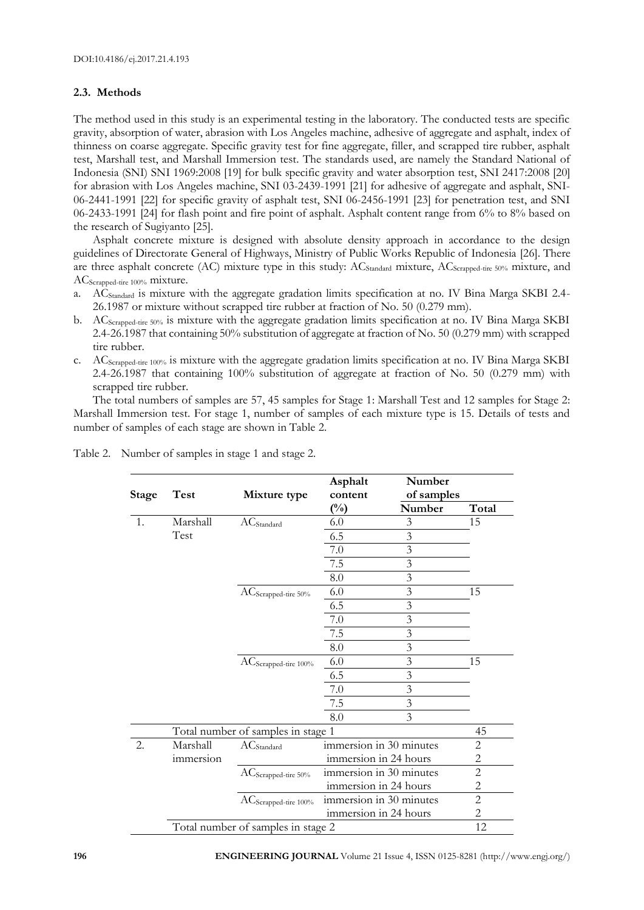#### **2.3. Methods**

The method used in this study is an experimental testing in the laboratory. The conducted tests are specific gravity, absorption of water, abrasion with Los Angeles machine, adhesive of aggregate and asphalt, index of thinness on coarse aggregate. Specific gravity test for fine aggregate, filler, and scrapped tire rubber, asphalt test, Marshall test, and Marshall Immersion test. The standards used, are namely the Standard National of Indonesia (SNI) SNI 1969:2008 [19] for bulk specific gravity and water absorption test, SNI 2417:2008 [20] for abrasion with Los Angeles machine, SNI 03-2439-1991 [21] for adhesive of aggregate and asphalt, SNI-06-2441-1991 [22] for specific gravity of asphalt test, SNI 06-2456-1991 [23] for penetration test, and SNI 06-2433-1991 [24] for flash point and fire point of asphalt. Asphalt content range from 6% to 8% based on the research of Sugiyanto [25].

Asphalt concrete mixture is designed with absolute density approach in accordance to the design guidelines of Directorate General of Highways, Ministry of Public Works Republic of Indonesia [26]. There are three asphalt concrete (AC) mixture type in this study:  $AC_{Standard}$  mixture,  $AC_{Scanoded-ire 50%}$  mixture, and ACScrapped-tire 100% mixture.

- a. ACStandard is mixture with the aggregate gradation limits specification at no. IV Bina Marga SKBI 2.4- 26.1987 or mixture without scrapped tire rubber at fraction of No. 50 (0.279 mm).
- b. ACScrapped-tire 50% is mixture with the aggregate gradation limits specification at no. IV Bina Marga SKBI 2.4-26.1987 that containing 50% substitution of aggregate at fraction of No. 50 (0.279 mm) with scrapped tire rubber.
- c. ACScrapped-tire 100% is mixture with the aggregate gradation limits specification at no. IV Bina Marga SKBI 2.4-26.1987 that containing 100% substitution of aggregate at fraction of No. 50 (0.279 mm) with scrapped tire rubber.

The total numbers of samples are 57, 45 samples for Stage 1: Marshall Test and 12 samples for Stage 2: Marshall Immersion test. For stage 1, number of samples of each mixture type is 15. Details of tests and number of samples of each stage are shown in Table 2.

| <b>Stage</b> | <b>Test</b>      | Mixture type                       | Asphalt<br>content      | Number<br>of samples    |                |
|--------------|------------------|------------------------------------|-------------------------|-------------------------|----------------|
|              |                  |                                    | $\binom{0}{0}$          | Number                  | Total          |
| 1.           | Marshall         | $AC$ Standard                      | 6.0                     | 3                       | 15             |
|              | Test             |                                    | 6.5                     | $\overline{3}$          |                |
|              |                  |                                    | 7.0                     | $\mathfrak{Z}$          |                |
|              |                  |                                    | $7.5\,$                 | $\overline{3}$          |                |
|              |                  |                                    | 8.0                     | $\overline{3}$          |                |
|              |                  | AC <sub>Scrapped-tire</sub> 50%    | 6.0                     | $\overline{3}$          | 15             |
|              |                  |                                    | 6.5                     | $\mathfrak{Z}$          |                |
|              |                  |                                    | 7.0                     | $\overline{\mathbf{3}}$ |                |
|              |                  |                                    | 7.5                     | $\overline{\mathbf{3}}$ |                |
|              |                  |                                    | 8.0                     | $\overline{3}$          |                |
|              |                  | AC <sub>Scrapped-tire</sub> 100%   | 6.0                     | $\overline{3}$          | 15             |
|              |                  |                                    | $6.5\,$                 | $\overline{3}$          |                |
|              |                  |                                    | 7.0                     | $\overline{3}$          |                |
|              |                  |                                    | 7.5                     | $\overline{3}$          |                |
|              |                  |                                    | 8.0                     | $\overline{3}$          |                |
|              |                  | Total number of samples in stage 1 |                         |                         | 45             |
| 2.           | Marshall         | $AC$ Standard                      | immersion in 30 minutes |                         | 2              |
|              | <i>immersion</i> |                                    | immersion in 24 hours   |                         | 2              |
|              |                  | AC <sub>Scrapped-tire</sub> 50%    | immersion in 30 minutes |                         | $\overline{2}$ |
|              |                  |                                    | immersion in 24 hours   |                         | $\overline{c}$ |
|              |                  | AC <sub>Scrapped-tire</sub> 100%   | immersion in 30 minutes |                         | $\overline{c}$ |
|              |                  |                                    | immersion in 24 hours   |                         | $\mathbf{2}$   |
|              |                  | Total number of samples in stage 2 |                         |                         | 12             |

Table 2. Number of samples in stage 1 and stage 2.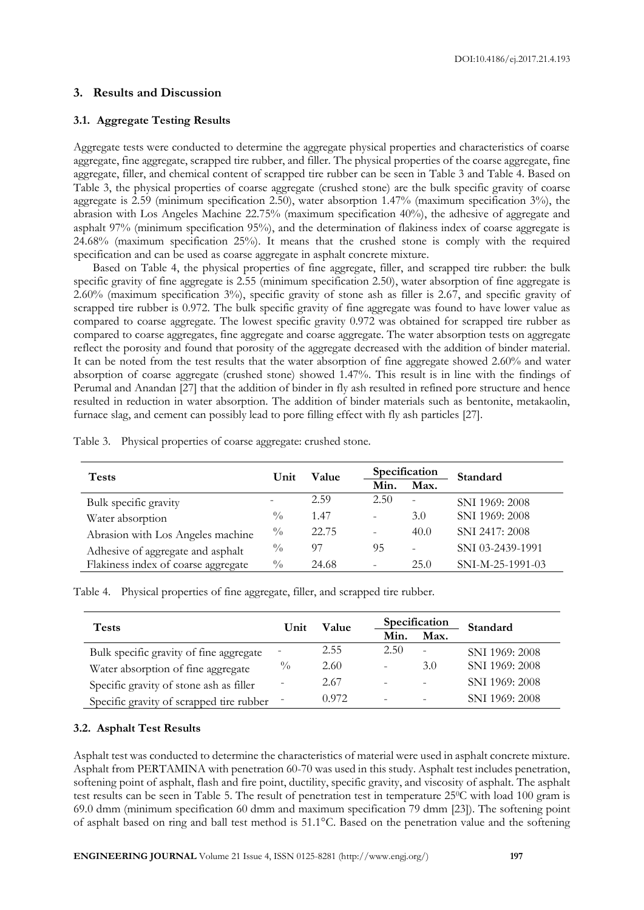#### **3. Results and Discussion**

#### **3.1. Aggregate Testing Results**

Aggregate tests were conducted to determine the aggregate physical properties and characteristics of coarse aggregate, fine aggregate, scrapped tire rubber, and filler. The physical properties of the coarse aggregate, fine aggregate, filler, and chemical content of scrapped tire rubber can be seen in Table 3 and Table 4. Based on Table 3, the physical properties of coarse aggregate (crushed stone) are the bulk specific gravity of coarse aggregate is 2.59 (minimum specification 2.50), water absorption 1.47% (maximum specification 3%), the abrasion with Los Angeles Machine 22.75% (maximum specification 40%), the adhesive of aggregate and asphalt 97% (minimum specification 95%), and the determination of flakiness index of coarse aggregate is 24.68% (maximum specification 25%). It means that the crushed stone is comply with the required specification and can be used as coarse aggregate in asphalt concrete mixture.

Based on Table 4, the physical properties of fine aggregate, filler, and scrapped tire rubber: the bulk specific gravity of fine aggregate is 2.55 (minimum specification 2.50), water absorption of fine aggregate is 2.60% (maximum specification 3%), specific gravity of stone ash as filler is 2.67, and specific gravity of scrapped tire rubber is 0.972. The bulk specific gravity of fine aggregate was found to have lower value as compared to coarse aggregate. The lowest specific gravity 0.972 was obtained for scrapped tire rubber as compared to coarse aggregates, fine aggregate and coarse aggregate. The water absorption tests on aggregate reflect the porosity and found that porosity of the aggregate decreased with the addition of binder material. It can be noted from the test results that the water absorption of fine aggregate showed 2.60% and water absorption of coarse aggregate (crushed stone) showed 1.47%. This result is in line with the findings of Perumal and Anandan [27] that the addition of binder in fly ash resulted in refined pore structure and hence resulted in reduction in water absorption. The addition of binder materials such as bentonite, metakaolin, furnace slag, and cement can possibly lead to pore filling effect with fly ash particles [27].

| <b>Tests</b>                        | Unit          | Value |                          | Specification            | Standard         |
|-------------------------------------|---------------|-------|--------------------------|--------------------------|------------------|
|                                     |               |       | Min.                     | Max.                     |                  |
| Bulk specific gravity               |               | 2.59  | 2.50                     | $\overline{\phantom{a}}$ | SNI 1969: 2008   |
| Water absorption                    | $^{0}/_{0}$   | 1.47  | $\overline{\phantom{0}}$ | 3.0                      | SNI 1969: 2008   |
| Abrasion with Los Angeles machine   | $\frac{0}{0}$ | 22.75 | $\overline{\phantom{0}}$ | 40.0                     | SNI 2417: 2008   |
| Adhesive of aggregate and asphalt   | $\frac{0}{0}$ | 97    | 95                       | $\overline{a}$           | SNI 03-2439-1991 |
| Flakiness index of coarse aggregate | $\frac{0}{0}$ | 24.68 | -                        | 25.0                     | SNI-M-25-1991-03 |

Table 3. Physical properties of coarse aggregate: crushed stone.

Table 4. Physical properties of fine aggregate, filler, and scrapped tire rubber.

| <b>Tests</b>                             | Unit          | Value |      | Specification            | Standard       |
|------------------------------------------|---------------|-------|------|--------------------------|----------------|
|                                          |               |       | Min. | Max.                     |                |
| Bulk specific gravity of fine aggregate  |               | 2.55  | 2.50 | $\overline{\phantom{0}}$ | SNI 1969: 2008 |
| Water absorption of fine aggregate       | $\frac{0}{0}$ | 2.60  |      | 3.0                      | SNI 1969: 2008 |
| Specific gravity of stone ash as filler  |               | 2.67  |      | $\qquad \qquad$          | SNI 1969: 2008 |
| Specific gravity of scrapped tire rubber |               | 0.972 |      | $\overline{\phantom{a}}$ | SNI 1969: 2008 |

#### **3.2. Asphalt Test Results**

Asphalt test was conducted to determine the characteristics of material were used in asphalt concrete mixture. Asphalt from PERTAMINA with penetration 60-70 was used in this study. Asphalt test includes penetration, softening point of asphalt, flash and fire point, ductility, specific gravity, and viscosity of asphalt. The asphalt test results can be seen in Table 5. The result of penetration test in temperature 25°C with load 100 gram is 69.0 dmm (minimum specification 60 dmm and maximum specification 79 dmm [23]). The softening point of asphalt based on ring and ball test method is 51.1°C. Based on the penetration value and the softening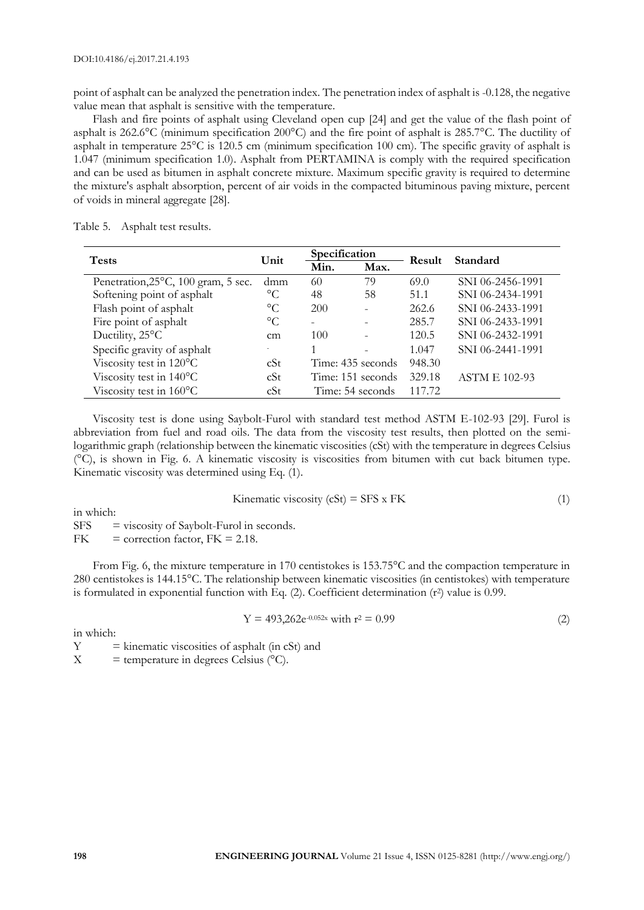point of asphalt can be analyzed the penetration index. The penetration index of asphalt is -0.128, the negative value mean that asphalt is sensitive with the temperature.

Flash and fire points of asphalt using Cleveland open cup [24] and get the value of the flash point of asphalt is 262.6°C (minimum specification 200°C) and the fire point of asphalt is 285.7°C. The ductility of asphalt in temperature 25°C is 120.5 cm (minimum specification 100 cm). The specific gravity of asphalt is 1.047 (minimum specification 1.0). Asphalt from PERTAMINA is comply with the required specification and can be used as bitumen in asphalt concrete mixture. Maximum specific gravity is required to determine the mixture's asphalt absorption, percent of air voids in the compacted bituminous paving mixture, percent of voids in mineral aggregate [28].

| Table 5.<br>Asphalt test results. |  |
|-----------------------------------|--|
|-----------------------------------|--|

| <b>Tests</b>                        | Unit            |      | Specification            |        | Standard             |  |
|-------------------------------------|-----------------|------|--------------------------|--------|----------------------|--|
|                                     |                 | Min. | Max.                     | Result |                      |  |
| Penetration, 25°C, 100 gram, 5 sec. | dmm             | 60   | 79                       | 69.0   | SNI 06-2456-1991     |  |
| Softening point of asphalt          | $\rm ^{\circ}C$ | 48   | 58                       | 51.1   | SNI 06-2434-1991     |  |
| Flash point of asphalt              | $\circ$ C       | 200  | $\overline{a}$           | 262.6  | SNI 06-2433-1991     |  |
| Fire point of asphalt               | $\rm ^{\circ}C$ |      |                          | 285.7  | SNI 06-2433-1991     |  |
| Ductility, $25^{\circ}$ C           | cm              | 100  | $\overline{\phantom{0}}$ | 120.5  | SNI 06-2432-1991     |  |
| Specific gravity of asphalt         |                 |      |                          | 1.047  | SNI 06-2441-1991     |  |
| Viscosity test in 120°C             | cSt             |      | Time: 435 seconds        | 948.30 |                      |  |
| Viscosity test in $140^{\circ}$ C   | cSt             |      | Time: 151 seconds        | 329.18 | <b>ASTM E 102-93</b> |  |
| Viscosity test in $160^{\circ}$ C   | cSt             |      | Time: 54 seconds         | 117.72 |                      |  |

Viscosity test is done using Saybolt-Furol with standard test method ASTM E-102-93 [29]. Furol is abbreviation from fuel and road oils. The data from the viscosity test results, then plotted on the semilogarithmic graph (relationship between the kinematic viscosities (cSt) with the temperature in degrees Celsius (°C), is shown in Fig. 6. A kinematic viscosity is viscosities from bitumen with cut back bitumen type. Kinematic viscosity was determined using Eq. (1).

$$
Kinematic viscosity (cSt) = SFS x FK
$$
\n<sup>(1)</sup>

in which:

 $SFS = viscosity of Saybolt-Furol in seconds.$ 

FK  $=$  correction factor, FK  $=$  2.18.

From Fig. 6, the mixture temperature in 170 centistokes is 153.75°C and the compaction temperature in 280 centistokes is 144.15°C. The relationship between kinematic viscosities (in centistokes) with temperature is formulated in exponential function with Eq. (2). Coefficient determination (r<sup>2</sup>) value is 0.99.

$$
Y = 493,262e^{-0.052x} \text{ with } r^2 = 0.99 \tag{2}
$$

in which:

 $Y =$  kinematic viscosities of asphalt (in cSt) and

 $X =$  temperature in degrees Celsius ( $^{\circ}$ C).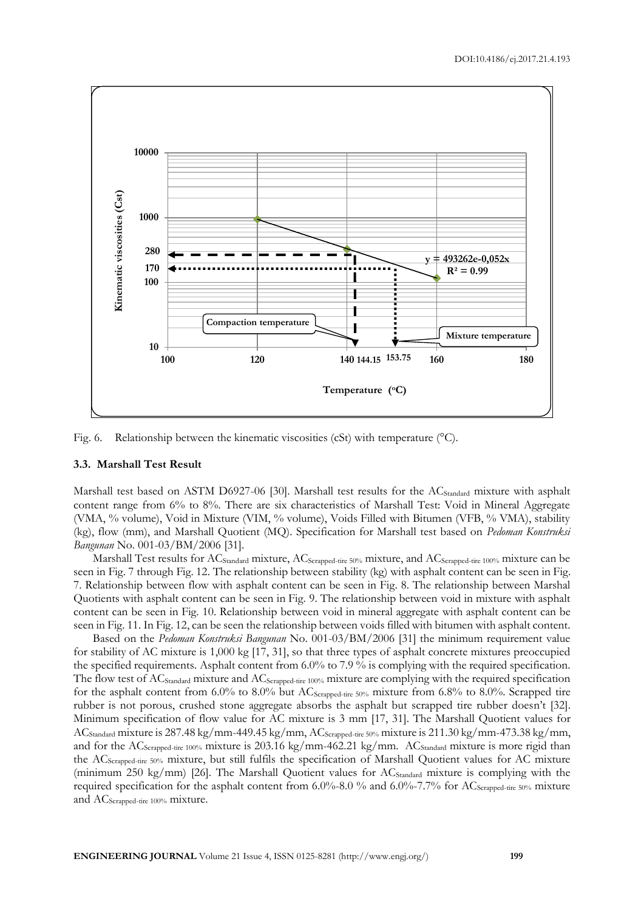

Fig. 6. Relationship between the kinematic viscosities (cSt) with temperature (°C).

#### **3.3. Marshall Test Result**

Marshall test based on ASTM D6927-06 [30]. Marshall test results for the AC<sub>Standard</sub> mixture with asphalt content range from 6% to 8%. There are six characteristics of Marshall Test: Void in Mineral Aggregate (VMA, % volume), Void in Mixture (VIM, % volume), Voids Filled with Bitumen (VFB, % VMA), stability (kg), flow (mm), and Marshall Quotient (MQ). Specification for Marshall test based on *Pedoman Konstruksi Bangunan* No. 001-03/BM/2006 [31].

Marshall Test results for ACStandard mixture, ACScrapped-tire 50% mixture, and ACScrapped-tire 100% mixture can be seen in Fig. 7 through Fig. 12. The relationship between stability (kg) with asphalt content can be seen in Fig. 7. Relationship between flow with asphalt content can be seen in Fig. 8. The relationship between Marshal Quotients with asphalt content can be seen in Fig. 9. The relationship between void in mixture with asphalt content can be seen in Fig. 10. Relationship between void in mineral aggregate with asphalt content can be seen in Fig. 11. In Fig. 12, can be seen the relationship between voids filled with bitumen with asphalt content.

Based on the *Pedoman Konstruksi Bangunan* No. 001-03/BM/2006 [31] the minimum requirement value for stability of AC mixture is 1,000 kg [17, 31], so that three types of asphalt concrete mixtures preoccupied the specified requirements. Asphalt content from 6.0% to 7.9 % is complying with the required specification. The flow test of AC<sub>Standard</sub> mixture and AC<sub>Scrapped-tire 100%</sub> mixture are complying with the required specification for the asphalt content from 6.0% to 8.0% but  $AC_{Scapped\text{-}tire 50\%}$  mixture from 6.8% to 8.0%. Scrapped tire rubber is not porous, crushed stone aggregate absorbs the asphalt but scrapped tire rubber doesn't [32]. Minimum specification of flow value for AC mixture is 3 mm [17, 31]. The Marshall Quotient values for ACStandard mixture is 287.48 kg/mm-449.45 kg/mm, ACScrapped-tire 50% mixture is 211.30 kg/mm-473.38 kg/mm, and for the AC<sub>Scrapped-tire 100%</sub> mixture is 203.16 kg/mm-462.21 kg/mm. AC<sub>Standard</sub> mixture is more rigid than the ACScrapped-tire 50% mixture, but still fulfils the specification of Marshall Quotient values for AC mixture (minimum 250 kg/mm) [26]. The Marshall Quotient values for  $AC_{Standard}$  mixture is complying with the required specification for the asphalt content from 6.0%-8.0 % and 6.0%-7.7% for AC<sub>Scrapped-tire</sub> 50% mixture and AC<sub>Scrapped-tire</sub> 100% mixture.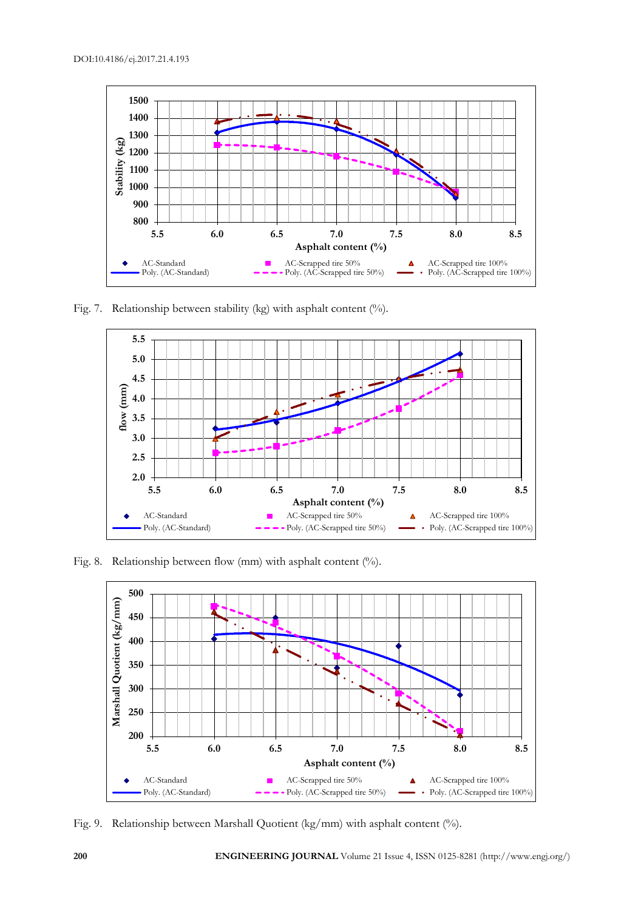

Fig. 7. Relationship between stability (kg) with asphalt content (%).



Fig. 8. Relationship between flow (mm) with asphalt content (%).



Fig. 9. Relationship between Marshall Quotient (kg/mm) with asphalt content (%).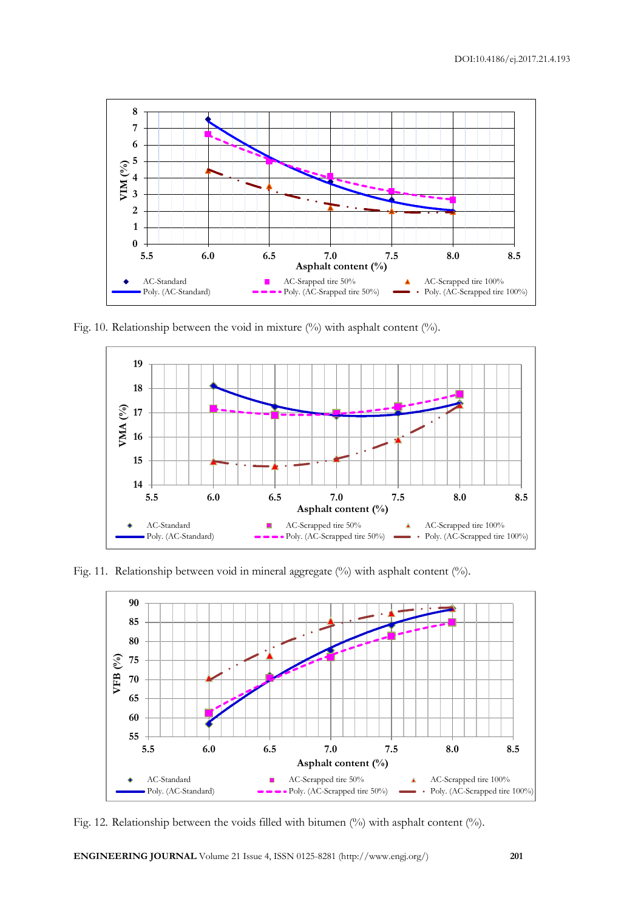

Fig. 10. Relationship between the void in mixture  $(\%)$  with asphalt content  $(\%)$ .



Fig. 11. Relationship between void in mineral aggregate (%) with asphalt content (%).



Fig. 12. Relationship between the voids filled with bitumen (%) with asphalt content (%).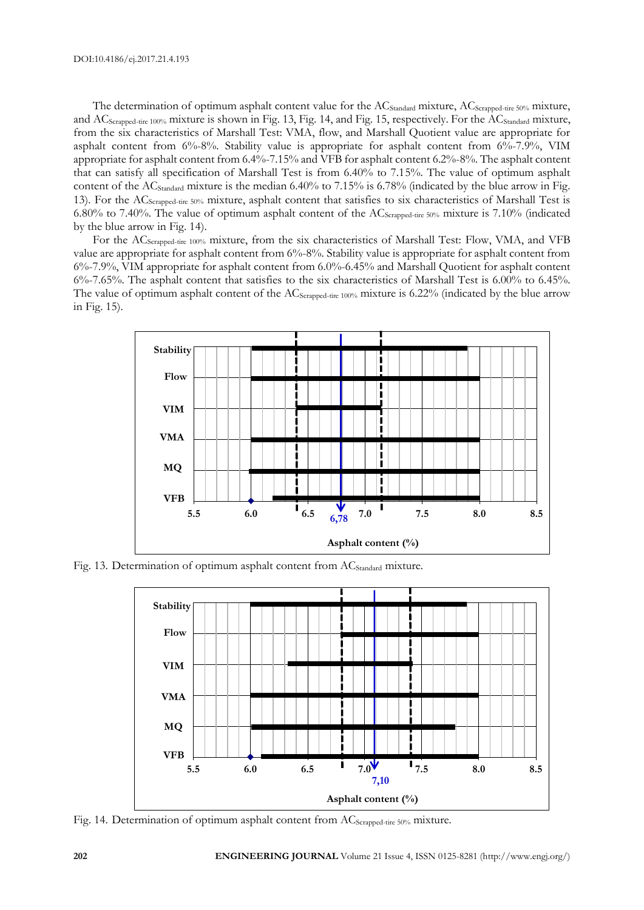The determination of optimum asphalt content value for the AC<sub>Standard</sub> mixture, AC<sub>Scrapped-tire 50%</sub> mixture, and AC<sub>Scrapped-tire 100%</sub> mixture is shown in Fig. 13, Fig. 14, and Fig. 15, respectively. For the AC<sub>Standard</sub> mixture, from the six characteristics of Marshall Test: VMA, flow, and Marshall Quotient value are appropriate for asphalt content from 6%-8%. Stability value is appropriate for asphalt content from 6%-7.9%, VIM appropriate for asphalt content from 6.4%-7.15% and VFB for asphalt content 6.2%-8%. The asphalt content that can satisfy all specification of Marshall Test is from 6.40% to 7.15%. The value of optimum asphalt content of the AC<sub>Standard</sub> mixture is the median 6.40% to 7.15% is 6.78% (indicated by the blue arrow in Fig. 13). For the ACScrapped-tire 50% mixture, asphalt content that satisfies to six characteristics of Marshall Test is 6.80% to 7.40%. The value of optimum asphalt content of the ACScrapped-tire 50% mixture is 7.10% (indicated by the blue arrow in Fig. 14).

For the AC<sub>Scrapped-tire 100%</sub> mixture, from the six characteristics of Marshall Test: Flow, VMA, and VFB value are appropriate for asphalt content from 6%-8%. Stability value is appropriate for asphalt content from 6%-7.9%, VIM appropriate for asphalt content from 6.0%-6.45% and Marshall Quotient for asphalt content 6%-7.65%. The asphalt content that satisfies to the six characteristics of Marshall Test is 6.00% to 6.45%. The value of optimum asphalt content of the AC<sub>Scrapped-tire</sub> 100% mixture is 6.22% (indicated by the blue arrow in Fig. 15).



Fig. 13. Determination of optimum asphalt content from AC<sub>Standard</sub> mixture.



Fig. 14. Determination of optimum asphalt content from AC<sub>Scrapped-tire</sub> 50% mixture.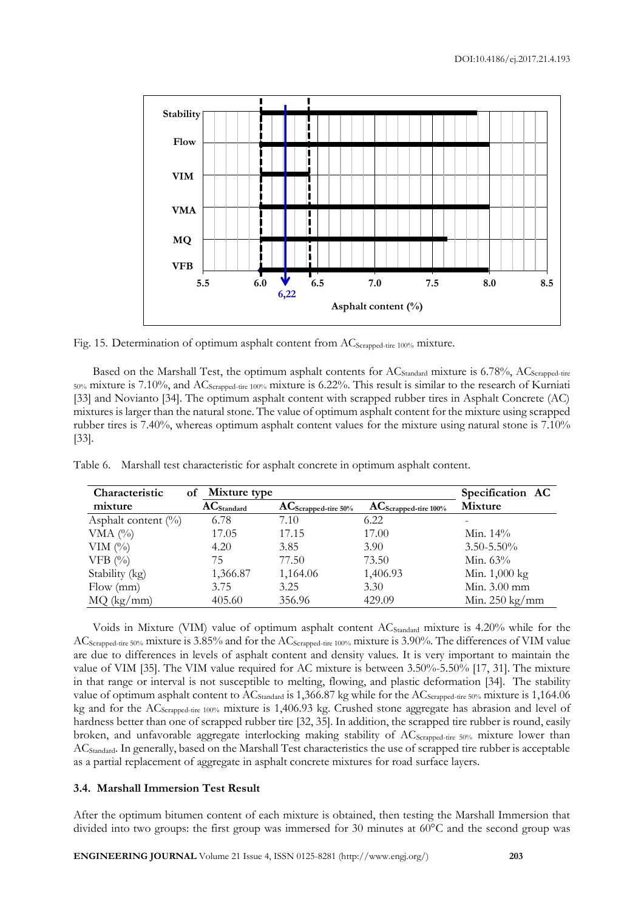

Fig. 15. Determination of optimum asphalt content from AC<sub>Scrapped-tire 100%</sub> mixture.

Based on the Marshall Test, the optimum asphalt contents for AC<sub>Standard</sub> mixture is 6.78%, AC<sub>Scrapped-tire</sub>  $_{50\%}$  mixture is 7.10%, and AC<sub>Scrapped-tire</sub> 100% mixture is 6.22%. This result is similar to the research of Kurniati [33] and Novianto [34]. The optimum asphalt content with scrapped rubber tires in Asphalt Concrete (AC) mixtures is larger than the natural stone. The value of optimum asphalt content for the mixture using scrapped rubber tires is 7.40%, whereas optimum asphalt content values for the mixture using natural stone is 7.10% [33].

| Characteristic         | Mixture type<br>оf |                           |                                                             | Specification AC         |
|------------------------|--------------------|---------------------------|-------------------------------------------------------------|--------------------------|
| mixture                | $AC_{Standard}$    | $AC_{Scrapped-tire 50\%}$ | $AC_{Scrapped\textrm{-}\underline{tire}~\underline{100\%}}$ | Mixture                  |
| Asphalt content $(\%)$ | 6.78               | 7.10                      | 6.22                                                        |                          |
| VMA $($ %)             | 17.05              | 17.15                     | 17.00                                                       | Min. $14\%$              |
| VIM $(\%)$             | 4.20               | 3.85                      | 3.90                                                        | $3.50 - 5.50\%$          |
| VFB $(%$               | 75                 | 77.50                     | 73.50                                                       | Min. $63\%$              |
| Stability (kg)         | 1,366.87           | 1,164.06                  | 1,406.93                                                    | Min. 1,000 kg            |
| Flow (mm)              | 3.75               | 3.25                      | 3.30                                                        | Min. 3.00 mm             |
| MQ (kg/mm)             | 405.60             | 356.96                    | 429.09                                                      | Min. $250 \text{ kg/mm}$ |

Table 6. Marshall test characteristic for asphalt concrete in optimum asphalt content.

Voids in Mixture (VIM) value of optimum asphalt content AC<sub>Standard</sub> mixture is 4.20% while for the AC<sub>Scrapped-tire 50%</sub> mixture is 3.85% and for the AC<sub>Scrapped-tire 100%</sub> mixture is 3.90%. The differences of VIM value are due to differences in levels of asphalt content and density values. It is very important to maintain the value of VIM [35]. The VIM value required for AC mixture is between 3.50%-5.50% [17, 31]. The mixture in that range or interval is not susceptible to melting, flowing, and plastic deformation [34]. The stability value of optimum asphalt content to AC<sub>Standard</sub> is 1,366.87 kg while for the AC<sub>Scrapped-tire</sub> 50% mixture is 1,164.06 kg and for the ACScrapped-tire 100% mixture is 1,406.93 kg. Crushed stone aggregate has abrasion and level of hardness better than one of scrapped rubber tire [32, 35]. In addition, the scrapped tire rubber is round, easily broken, and unfavorable aggregate interlocking making stability of AC<sub>Scrapped-tire 50%</sub> mixture lower than ACStandard. In generally, based on the Marshall Test characteristics the use of scrapped tire rubber is acceptable as a partial replacement of aggregate in asphalt concrete mixtures for road surface layers.

#### **3.4. Marshall Immersion Test Result**

After the optimum bitumen content of each mixture is obtained, then testing the Marshall Immersion that divided into two groups: the first group was immersed for 30 minutes at 60°C and the second group was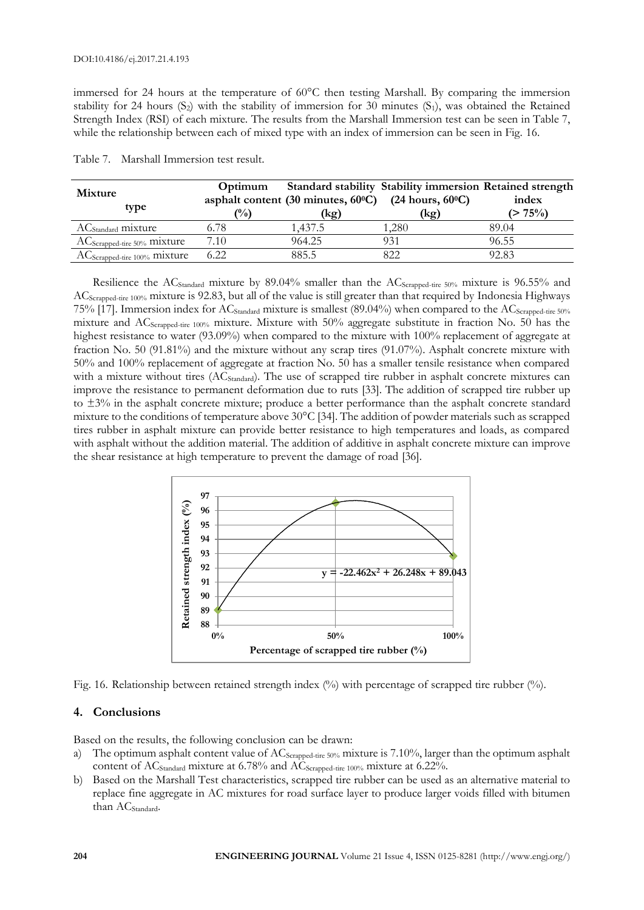immersed for 24 hours at the temperature of 60°C then testing Marshall. By comparing the immersion stability for 24 hours  $(S_2)$  with the stability of immersion for 30 minutes  $(S_1)$ , was obtained the Retained Strength Index (RSI) of each mixture. The results from the Marshall Immersion test can be seen in Table 7, while the relationship between each of mixed type with an index of immersion can be seen in Fig. 16.

| <b>Mixture</b><br>type                   | Optimum<br>$\frac{1}{2}$ | asphalt content (30 minutes, $60^{\circ}$ C) (24 hours, $60^{\circ}$ C)<br>(kg) | Standard stability Stability immersion Retained strength<br>(kg) | index<br>$(> 75\%)$ |
|------------------------------------------|--------------------------|---------------------------------------------------------------------------------|------------------------------------------------------------------|---------------------|
| AC <sub>Standard</sub> mixture           | 6.78                     | 1.437.5                                                                         | .280                                                             | 89.04               |
| $AC_{Scrapped-tire 50\%}$ mixture        | 7.10                     | 964.25                                                                          | 931                                                              | 96.55               |
| AC <sub>Scrapped-tire</sub> 100% mixture | 6.22                     | 885.5                                                                           | 822                                                              | 92.83               |

Table 7. Marshall Immersion test result.

Resilience the AC<sub>Standard</sub> mixture by 89.04% smaller than the AC<sub>Scrapped-tire</sub> 50% mixture is 96.55% and ACScrapped-tire 100% mixture is 92.83, but all of the value is still greater than that required by Indonesia Highways 75% [17]. Immersion index for AC<sub>Standard</sub> mixture is smallest (89.04%) when compared to the AC<sub>Scrapped-tire</sub> 50% mixture and ACScrapped-tire 100% mixture. Mixture with 50% aggregate substitute in fraction No. 50 has the highest resistance to water (93.09%) when compared to the mixture with 100% replacement of aggregate at fraction No. 50 (91.81%) and the mixture without any scrap tires (91.07%). Asphalt concrete mixture with 50% and 100% replacement of aggregate at fraction No. 50 has a smaller tensile resistance when compared with a mixture without tires (AC<sub>Standard</sub>). The use of scrapped tire rubber in asphalt concrete mixtures can improve the resistance to permanent deformation due to ruts [33]. The addition of scrapped tire rubber up to ±3% in the asphalt concrete mixture; produce a better performance than the asphalt concrete standard mixture to the conditions of temperature above 30°C [34]. The addition of powder materials such as scrapped tires rubber in asphalt mixture can provide better resistance to high temperatures and loads, as compared with asphalt without the addition material. The addition of additive in asphalt concrete mixture can improve the shear resistance at high temperature to prevent the damage of road [36].



Fig. 16. Relationship between retained strength index (%) with percentage of scrapped tire rubber (%).

#### **4. Conclusions**

Based on the results, the following conclusion can be drawn:

- a) The optimum asphalt content value of AC<sub>Scrapped-tire</sub> 50% mixture is 7.10%, larger than the optimum asphalt content of  $AC_{Standard}$  mixture at 6.78% and  $AC_{Scraped\textrm{-}time\ 100\%}$  mixture at 6.22%.
- b) Based on the Marshall Test characteristics, scrapped tire rubber can be used as an alternative material to replace fine aggregate in AC mixtures for road surface layer to produce larger voids filled with bitumen than AC<sub>Standard</sub>.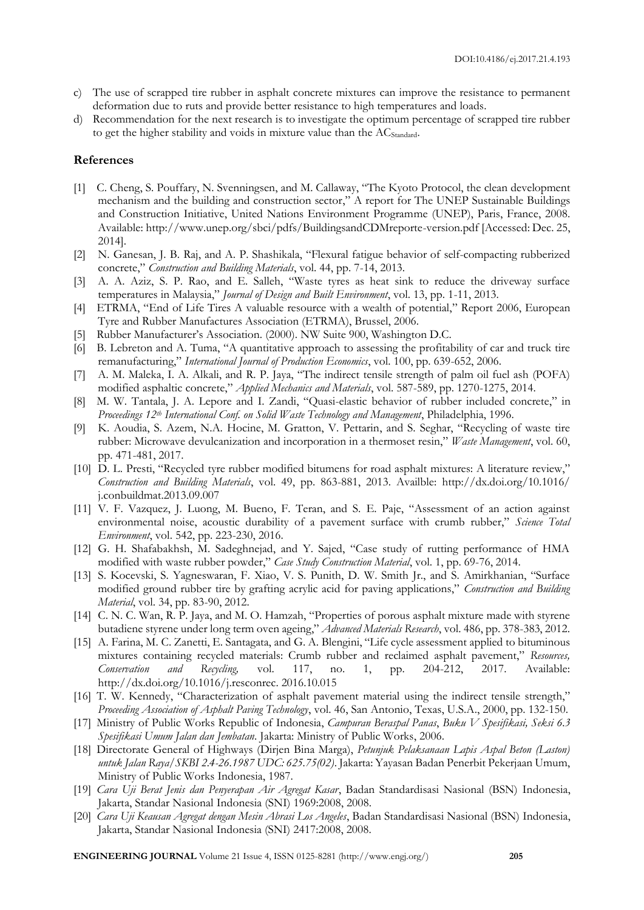- c) The use of scrapped tire rubber in asphalt concrete mixtures can improve the resistance to permanent deformation due to ruts and provide better resistance to high temperatures and loads.
- d) Recommendation for the next research is to investigate the optimum percentage of scrapped tire rubber to get the higher stability and voids in mixture value than the  $AC_{Standard}$ .

#### **References**

- [1] C. Cheng, S. Pouffary, N. Svenningsen, and M. Callaway, "The Kyoto Protocol, the clean development mechanism and the building and construction sector," A report for The UNEP Sustainable Buildings and Construction Initiative, United Nations Environment Programme (UNEP), Paris, France, 2008. Available: http://www.unep.org/sbci/pdfs/BuildingsandCDMreporte-version.pdf [Accessed: Dec. 25, 2014].
- [2] N. Ganesan, J. B. Raj, and A. P. Shashikala, "Flexural fatigue behavior of self-compacting rubberized concrete," *Construction and Building Materials*, vol. 44, pp. 7-14, 2013.
- [3] A. A. Aziz, S. P. Rao, and E. Salleh, "Waste tyres as heat sink to reduce the driveway surface temperatures in Malaysia," *Journal of Design and Built Environment*, vol. 13, pp. 1-11, 2013.
- [4] ETRMA, "End of Life Tires A valuable resource with a wealth of potential," Report 2006, European Tyre and Rubber Manufactures Association (ETRMA), Brussel, 2006.
- [5] Rubber Manufacturer's Association. (2000). NW Suite 900, Washington D.C.
- [6] B. Lebreton and A. Tuma, "A quantitative approach to assessing the profitability of car and truck tire remanufacturing," *International Journal of Production Economics*, vol. 100, pp. 639-652, 2006.
- [7] A. M. Maleka, I. A. Alkali, and R. P. Jaya, "The indirect tensile strength of palm oil fuel ash (POFA) modified asphaltic concrete," *Applied Mechanics and Materials*, vol. 587-589, pp. 1270-1275, 2014.
- [8] M. W. Tantala, J. A. Lepore and I. Zandi, "Quasi-elastic behavior of rubber included concrete," in *Proceedings 12th International Conf. on Solid Waste Technology and Management*, Philadelphia, 1996.
- [9] K. Aoudia, S. Azem, N.A. Hocine, M. Gratton, V. Pettarin, and S. Seghar, "Recycling of waste tire rubber: Microwave devulcanization and incorporation in a thermoset resin," *Waste Management*, vol. 60, pp. 471-481, 2017.
- [10] D. L. Presti, "Recycled tyre rubber modified bitumens for road asphalt mixtures: A literature review," *Construction and Building Materials*, vol. 49, pp. 863-881, 2013. Availble: http://dx.doi.org/10.1016/ j.conbuildmat.2013.09.007
- [11] V. F. Vazquez, J. Luong, M. Bueno, F. Teran, and S. E. Paje, "Assessment of an action against environmental noise, acoustic durability of a pavement surface with crumb rubber," *Science Total Environment*, vol. 542, pp. 223-230, 2016.
- [12] G. H. Shafabakhsh, M. Sadeghnejad, and Y. Sajed, "Case study of rutting performance of HMA modified with waste rubber powder," *Case Study Construction Material*, vol. 1, pp. 69-76, 2014.
- [13] S. Kocevski, S. Yagneswaran, F. Xiao, V. S. Punith, D. W. Smith Jr., and S. Amirkhanian, "Surface modified ground rubber tire by grafting acrylic acid for paving applications," *Construction and Building Material*, vol. 34, pp. 83-90, 2012.
- [14] C. N. C. Wan, R. P. Jaya, and M. O. Hamzah, "Properties of porous asphalt mixture made with styrene butadiene styrene under long term oven ageing," *Advanced Materials Research*, vol. 486, pp. 378-383, 2012.
- [15] A. Farina, M. C. Zanetti, E. Santagata, and G. A. Blengini, "Life cycle assessment applied to bituminous mixtures containing recycled materials: Crumb rubber and reclaimed asphalt pavement," *Resources, Conservation and Recycling,* vol. 117, no. 1, pp. 204-212, 2017. Available: http://dx.doi.org/10.1016/j.resconrec. 2016.10.015
- [16] T. W. Kennedy, "Characterization of asphalt pavement material using the indirect tensile strength," *Proceeding Association of Asphalt Paving Technology*, vol. 46, San Antonio, Texas, U.S.A., 2000, pp. 132-150.
- [17] Ministry of Public Works Republic of Indonesia, *Campuran Beraspal Panas*, *Buku V Spesifikasi, Seksi 6.3 Spesifikasi Umum Jalan dan Jembatan*. Jakarta: Ministry of Public Works, 2006.
- [18] Directorate General of Highways (Dirjen Bina Marga), *Petunjuk Pelaksanaan Lapis Aspal Beton (Laston) untuk Jalan Raya/SKBI 2.4-26.1987 UDC: 625.75(02)*. Jakarta: Yayasan Badan Penerbit Pekerjaan Umum, Ministry of Public Works Indonesia, 1987.
- [19] *Cara Uji Berat Jenis dan Penyerapan Air Agregat Kasar*, Badan Standardisasi Nasional (BSN) Indonesia, Jakarta, Standar Nasional Indonesia (SNI) 1969:2008, 2008.
- [20] *Cara Uji Keausan Agregat dengan Mesin Abrasi Los Angeles*, Badan Standardisasi Nasional (BSN) Indonesia, Jakarta, Standar Nasional Indonesia (SNI) 2417:2008, 2008.